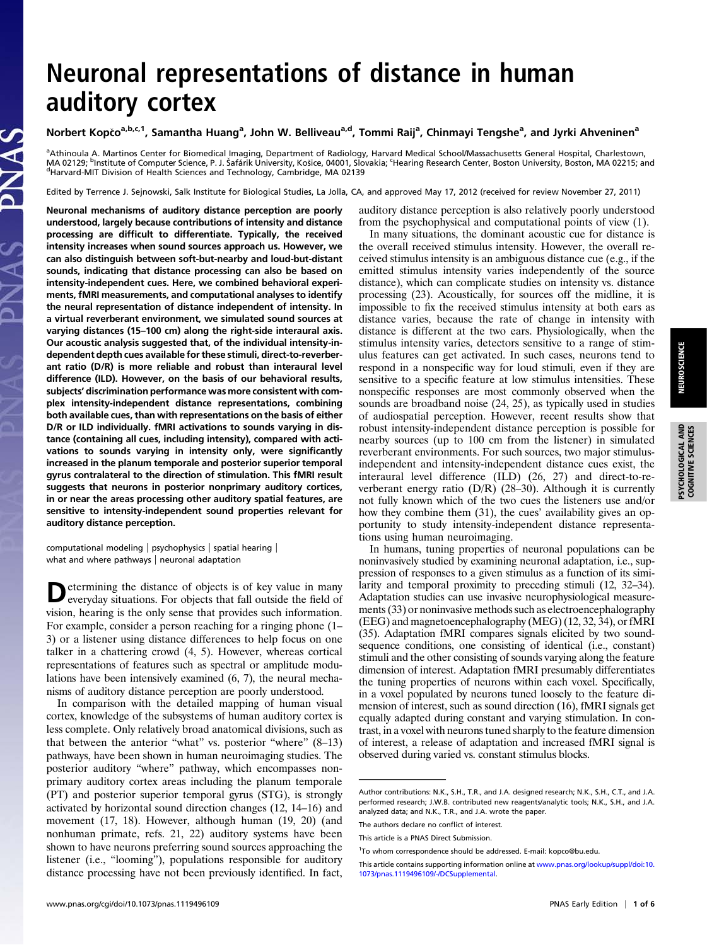# Neuronal representations of distance in human auditory cortex

### Norbert Kopčo<sup>a,b,c,1</sup>, Samantha Huang<sup>a</sup>, John W. Belliveau<sup>a,d</sup>, Tommi Raij<sup>a</sup>, Chinmayi Tengshe<sup>a</sup>, and Jyrki Ahveninen<sup>a</sup>

<sup>a</sup>Athinoula A. Martinos Center for Biomedical Imaging, Department of Radiology, Harvard Medical School/Massachusetts General Hospital, Charlestown,<br>MA 02129: <sup>P</sup>Institute of Computer Science, P.J. Šafářik University, Koši <sup>d</sup>Harvard-MIT Division of Health Sciences and Technology, Cambridge, MA 02139

Edited by Terrence J. Sejnowski, Salk Institute for Biological Studies, La Jolla, CA, and approved May 17, 2012 (received for review November 27, 2011)

Neuronal mechanisms of auditory distance perception are poorly understood, largely because contributions of intensity and distance processing are difficult to differentiate. Typically, the received intensity increases when sound sources approach us. However, we can also distinguish between soft-but-nearby and loud-but-distant sounds, indicating that distance processing can also be based on intensity-independent cues. Here, we combined behavioral experiments, fMRI measurements, and computational analyses to identify the neural representation of distance independent of intensity. In a virtual reverberant environment, we simulated sound sources at varying distances (15–100 cm) along the right-side interaural axis. Our acoustic analysis suggested that, of the individual intensity-independent depth cues available for these stimuli, direct-to-reverberant ratio (D/R) is more reliable and robust than interaural level difference (ILD). However, on the basis of our behavioral results, subjects' discrimination performance was more consistent with complex intensity-independent distance representations, combining both available cues, than with representations on the basis of either D/R or ILD individually. fMRI activations to sounds varying in distance (containing all cues, including intensity), compared with activations to sounds varying in intensity only, were significantly increased in the planum temporale and posterior superior temporal gyrus contralateral to the direction of stimulation. This fMRI result suggests that neurons in posterior nonprimary auditory cortices, in or near the areas processing other auditory spatial features, are sensitive to intensity-independent sound properties relevant for auditory distance perception.

computational modeling | psychophysics | spatial hearing | what and where pathways | neuronal adaptation

etermining the distance of objects is of key value in many everyday situations. For objects that fall outside the field of vision, hearing is the only sense that provides such information. For example, consider a person reaching for a ringing phone (1– 3) or a listener using distance differences to help focus on one talker in a chattering crowd (4, 5). However, whereas cortical representations of features such as spectral or amplitude modulations have been intensively examined (6, 7), the neural mechanisms of auditory distance perception are poorly understood.

In comparison with the detailed mapping of human visual cortex, knowledge of the subsystems of human auditory cortex is less complete. Only relatively broad anatomical divisions, such as that between the anterior "what" vs. posterior "where" (8–13) pathways, have been shown in human neuroimaging studies. The posterior auditory "where" pathway, which encompasses nonprimary auditory cortex areas including the planum temporale (PT) and posterior superior temporal gyrus (STG), is strongly activated by horizontal sound direction changes (12, 14–16) and movement (17, 18). However, although human (19, 20) (and nonhuman primate, refs. 21, 22) auditory systems have been shown to have neurons preferring sound sources approaching the listener (i.e., "looming"), populations responsible for auditory distance processing have not been previously identified. In fact, auditory distance perception is also relatively poorly understood from the psychophysical and computational points of view (1).

In many situations, the dominant acoustic cue for distance is the overall received stimulus intensity. However, the overall received stimulus intensity is an ambiguous distance cue (e.g., if the emitted stimulus intensity varies independently of the source distance), which can complicate studies on intensity vs. distance processing (23). Acoustically, for sources off the midline, it is impossible to fix the received stimulus intensity at both ears as distance varies, because the rate of change in intensity with distance is different at the two ears. Physiologically, when the stimulus intensity varies, detectors sensitive to a range of stimulus features can get activated. In such cases, neurons tend to respond in a nonspecific way for loud stimuli, even if they are sensitive to a specific feature at low stimulus intensities. These nonspecific responses are most commonly observed when the sounds are broadband noise (24, 25), as typically used in studies of audiospatial perception. However, recent results show that robust intensity-independent distance perception is possible for nearby sources (up to 100 cm from the listener) in simulated reverberant environments. For such sources, two major stimulusindependent and intensity-independent distance cues exist, the interaural level difference (ILD) (26, 27) and direct-to-reverberant energy ratio (D/R) (28–30). Although it is currently not fully known which of the two cues the listeners use and/or how they combine them (31), the cues' availability gives an opportunity to study intensity-independent distance representations using human neuroimaging.

In humans, tuning properties of neuronal populations can be noninvasively studied by examining neuronal adaptation, i.e., suppression of responses to a given stimulus as a function of its similarity and temporal proximity to preceding stimuli (12, 32–34). Adaptation studies can use invasive neurophysiological measurements (33) or noninvasive methods such as electroencephalography (EEG) and magnetoencephalography (MEG) (12, 32, 34), or fMRI (35). Adaptation fMRI compares signals elicited by two soundsequence conditions, one consisting of identical (i.e., constant) stimuli and the other consisting of sounds varying along the feature dimension of interest. Adaptation fMRI presumably differentiates the tuning properties of neurons within each voxel. Specifically, in a voxel populated by neurons tuned loosely to the feature dimension of interest, such as sound direction (16), fMRI signals get equally adapted during constant and varying stimulation. In contrast, in a voxel with neurons tuned sharply to the feature dimension of interest, a release of adaptation and increased fMRI signal is observed during varied vs. constant stimulus blocks.

PSYCHOLOGICAL AND COGNITIVE SCIENCES

**SYCHOLOGICAL AND**<br>COGNITIVE SCIENCES

Author contributions: N.K., S.H., T.R., and J.A. designed research; N.K., S.H., C.T., and J.A. performed research; J.W.B. contributed new reagents/analytic tools; N.K., S.H., and J.A. analyzed data; and N.K., T.R., and J.A. wrote the paper.

The authors declare no conflict of interest.

This article is a PNAS Direct Submission.

<sup>&</sup>lt;sup>1</sup>To whom correspondence should be addressed. E-mail: [kopco@bu.edu](mailto:kopco@bu.edu).

This article contains supporting information online at [www.pnas.org/lookup/suppl/doi:10.](http://www.pnas.org/lookup/suppl/doi:10.1073/pnas.1119496109/-/DCSupplemental) [1073/pnas.1119496109/-/DCSupplemental](http://www.pnas.org/lookup/suppl/doi:10.1073/pnas.1119496109/-/DCSupplemental).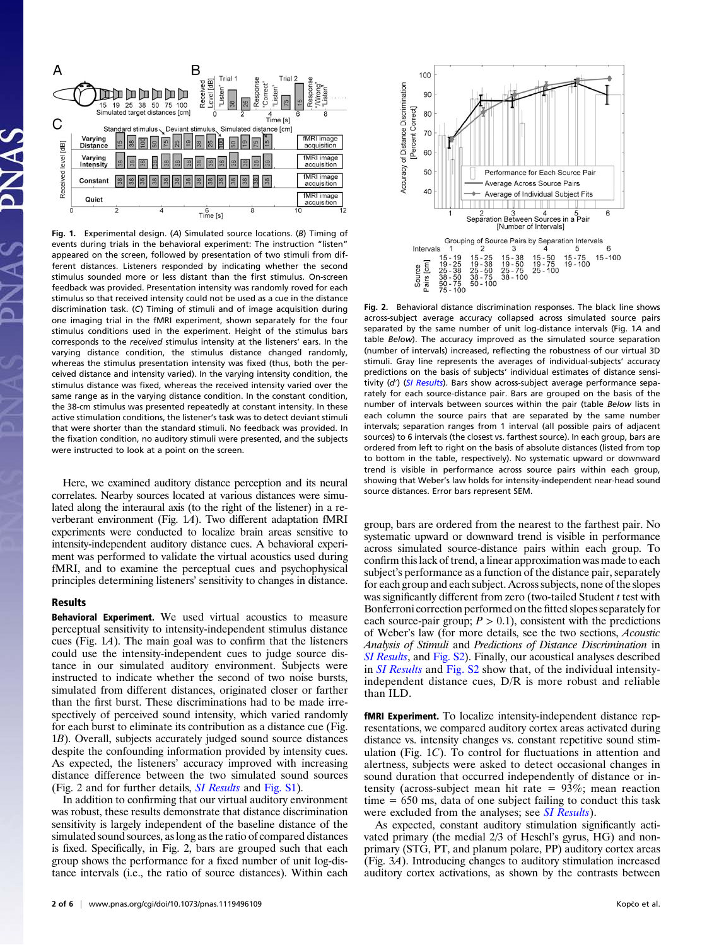

Fig. 1. Experimental design. (A) Simulated source locations. (B) Timing of events during trials in the behavioral experiment: The instruction "listen" appeared on the screen, followed by presentation of two stimuli from different distances. Listeners responded by indicating whether the second stimulus sounded more or less distant than the first stimulus. On-screen feedback was provided. Presentation intensity was randomly roved for each stimulus so that received intensity could not be used as a cue in the distance discrimination task. (C) Timing of stimuli and of image acquisition during one imaging trial in the fMRI experiment, shown separately for the four stimulus conditions used in the experiment. Height of the stimulus bars corresponds to the received stimulus intensity at the listeners' ears. In the varying distance condition, the stimulus distance changed randomly, whereas the stimulus presentation intensity was fixed (thus, both the perceived distance and intensity varied). In the varying intensity condition, the stimulus distance was fixed, whereas the received intensity varied over the same range as in the varying distance condition. In the constant condition, the 38-cm stimulus was presented repeatedly at constant intensity. In these active stimulation conditions, the listener's task was to detect deviant stimuli that were shorter than the standard stimuli. No feedback was provided. In the fixation condition, no auditory stimuli were presented, and the subjects were instructed to look at a point on the screen.

Here, we examined auditory distance perception and its neural correlates. Nearby sources located at various distances were simulated along the interaural axis (to the right of the listener) in a reverberant environment (Fig. 1A). Two different adaptation fMRI experiments were conducted to localize brain areas sensitive to intensity-independent auditory distance cues. A behavioral experiment was performed to validate the virtual acoustics used during fMRI, and to examine the perceptual cues and psychophysical principles determining listeners' sensitivity to changes in distance.

#### Results

Behavioral Experiment. We used virtual acoustics to measure perceptual sensitivity to intensity-independent stimulus distance cues (Fig.  $1A$ ). The main goal was to confirm that the listeners could use the intensity-independent cues to judge source distance in our simulated auditory environment. Subjects were instructed to indicate whether the second of two noise bursts, simulated from different distances, originated closer or farther than the first burst. These discriminations had to be made irrespectively of perceived sound intensity, which varied randomly for each burst to eliminate its contribution as a distance cue (Fig. 1B). Overall, subjects accurately judged sound source distances despite the confounding information provided by intensity cues. As expected, the listeners' accuracy improved with increasing distance difference between the two simulated sound sources (Fig. 2 and for further details, [SI Results](http://www.pnas.org/lookup/suppl/doi:10.1073/pnas.1119496109/-/DCSupplemental/pnas.201119496SI.pdf?targetid=nameddest=STXT) and [Fig. S1](http://www.pnas.org/lookup/suppl/doi:10.1073/pnas.1119496109/-/DCSupplemental/pnas.201119496SI.pdf?targetid=nameddest=SF1)).

In addition to confirming that our virtual auditory environment was robust, these results demonstrate that distance discrimination sensitivity is largely independent of the baseline distance of the simulated sound sources, as long as the ratio of compared distances is fixed. Specifically, in Fig. 2, bars are grouped such that each group shows the performance for a fixed number of unit log-distance intervals (i.e., the ratio of source distances). Within each



Fig. 2. Behavioral distance discrimination responses. The black line shows across-subject average accuracy collapsed across simulated source pairs separated by the same number of unit log-distance intervals (Fig. 1A and table Below). The accuracy improved as the simulated source separation (number of intervals) increased, reflecting the robustness of our virtual 3D stimuli. Gray line represents the averages of individual-subjects' accuracy predictions on the basis of subjects' individual estimates of distance sensi-tivity (d') ([SI Results](http://www.pnas.org/lookup/suppl/doi:10.1073/pnas.1119496109/-/DCSupplemental/pnas.201119496SI.pdf?targetid=nameddest=STXT)). Bars show across-subject average performance separately for each source-distance pair. Bars are grouped on the basis of the number of intervals between sources within the pair (table Below lists in each column the source pairs that are separated by the same number intervals; separation ranges from 1 interval (all possible pairs of adjacent sources) to 6 intervals (the closest vs. farthest source). In each group, bars are ordered from left to right on the basis of absolute distances (listed from top to bottom in the table, respectively). No systematic upward or downward trend is visible in performance across source pairs within each group, showing that Weber's law holds for intensity-independent near-head sound source distances. Error bars represent SEM.

group, bars are ordered from the nearest to the farthest pair. No systematic upward or downward trend is visible in performance across simulated source-distance pairs within each group. To confirm this lack of trend, a linear approximation was made to each subject's performance as a function of the distance pair, separately for each group and each subject. Across subjects, none of the slopes was significantly different from zero (two-tailed Student  $t$  test with Bonferroni correction performed on the fitted slopes separately for each source-pair group;  $P > 0.1$ ), consistent with the predictions of Weber's law (for more details, see the two sections, Acoustic Analysis of Stimuli and Predictions of Distance Discrimination in [SI Results](http://www.pnas.org/lookup/suppl/doi:10.1073/pnas.1119496109/-/DCSupplemental/pnas.201119496SI.pdf?targetid=nameddest=STXT), and [Fig. S2](http://www.pnas.org/lookup/suppl/doi:10.1073/pnas.1119496109/-/DCSupplemental/pnas.201119496SI.pdf?targetid=nameddest=SF2)). Finally, our acoustical analyses described in [SI Results](http://www.pnas.org/lookup/suppl/doi:10.1073/pnas.1119496109/-/DCSupplemental/pnas.201119496SI.pdf?targetid=nameddest=STXT) and [Fig. S2](http://www.pnas.org/lookup/suppl/doi:10.1073/pnas.1119496109/-/DCSupplemental/pnas.201119496SI.pdf?targetid=nameddest=SF2) show that, of the individual intensityindependent distance cues, D/R is more robust and reliable than ILD.

fMRI Experiment. To localize intensity-independent distance representations, we compared auditory cortex areas activated during distance vs. intensity changes vs. constant repetitive sound stimulation (Fig. 1C). To control for fluctuations in attention and alertness, subjects were asked to detect occasional changes in sound duration that occurred independently of distance or intensity (across-subject mean hit rate =  $93\%$ ; mean reaction  $time = 650$  ms, data of one subject failing to conduct this task were excluded from the analyses; see *[SI Results](http://www.pnas.org/lookup/suppl/doi:10.1073/pnas.1119496109/-/DCSupplemental/pnas.201119496SI.pdf?targetid=nameddest=STXT)*).

As expected, constant auditory stimulation significantly activated primary (the medial 2/3 of Heschl's gyrus, HG) and nonprimary (STG, PT, and planum polare, PP) auditory cortex areas (Fig. 3A). Introducing changes to auditory stimulation increased auditory cortex activations, as shown by the contrasts between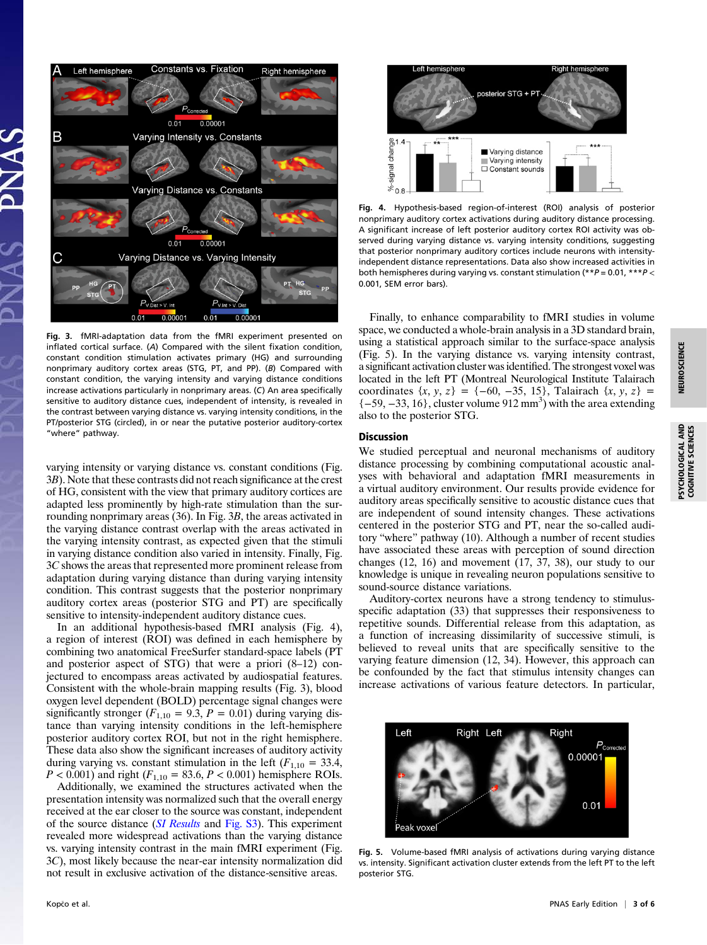

Fig. 3. fMRI-adaptation data from the fMRI experiment presented on inflated cortical surface. (A) Compared with the silent fixation condition, constant condition stimulation activates primary (HG) and surrounding nonprimary auditory cortex areas (STG, PT, and PP). (B) Compared with constant condition, the varying intensity and varying distance conditions increase activations particularly in nonprimary areas. (C) An area specifically sensitive to auditory distance cues, independent of intensity, is revealed in the contrast between varying distance vs. varying intensity conditions, in the PT/posterior STG (circled), in or near the putative posterior auditory-cortex "where" pathway.

varying intensity or varying distance vs. constant conditions (Fig. 3B). Note that these contrasts did not reach significance at the crest of HG, consistent with the view that primary auditory cortices are adapted less prominently by high-rate stimulation than the surrounding nonprimary areas (36). In Fig. 3B, the areas activated in the varying distance contrast overlap with the areas activated in the varying intensity contrast, as expected given that the stimuli in varying distance condition also varied in intensity. Finally, Fig. 3C shows the areas that represented more prominent release from adaptation during varying distance than during varying intensity condition. This contrast suggests that the posterior nonprimary auditory cortex areas (posterior STG and PT) are specifically sensitive to intensity-independent auditory distance cues.

In an additional hypothesis-based fMRI analysis (Fig. 4), a region of interest (ROI) was defined in each hemisphere by combining two anatomical FreeSurfer standard-space labels (PT and posterior aspect of STG) that were a priori (8–12) conjectured to encompass areas activated by audiospatial features. Consistent with the whole-brain mapping results (Fig. 3), blood oxygen level dependent (BOLD) percentage signal changes were significantly stronger ( $F_{1,10} = 9.3$ ,  $P = 0.01$ ) during varying distance than varying intensity conditions in the left-hemisphere posterior auditory cortex ROI, but not in the right hemisphere. These data also show the significant increases of auditory activity during varying vs. constant stimulation in the left  $(F_{1,10} = 33.4,$  $P < 0.001$ ) and right ( $F_{1,10} = 83.6, P < 0.001$ ) hemisphere ROIs.

Additionally, we examined the structures activated when the presentation intensity was normalized such that the overall energy received at the ear closer to the source was constant, independent of the source distance (*[SI Results](http://www.pnas.org/lookup/suppl/doi:10.1073/pnas.1119496109/-/DCSupplemental/pnas.201119496SI.pdf?targetid=nameddest=STXT)* and [Fig. S3\)](http://www.pnas.org/lookup/suppl/doi:10.1073/pnas.1119496109/-/DCSupplemental/pnas.201119496SI.pdf?targetid=nameddest=SF3). This experiment revealed more widespread activations than the varying distance vs. varying intensity contrast in the main fMRI experiment (Fig. 3C), most likely because the near-ear intensity normalization did not result in exclusive activation of the distance-sensitive areas.



Fig. 4. Hypothesis-based region-of-interest (ROI) analysis of posterior nonprimary auditory cortex activations during auditory distance processing. A significant increase of left posterior auditory cortex ROI activity was observed during varying distance vs. varying intensity conditions, suggesting that posterior nonprimary auditory cortices include neurons with intensityindependent distance representations. Data also show increased activities in both hemispheres during varying vs. constant stimulation (\*\*P = 0.01, \*\*\*P < 0.001, SEM error bars).

Finally, to enhance comparability to fMRI studies in volume space, we conducted a whole-brain analysis in a 3D standard brain, using a statistical approach similar to the surface-space analysis (Fig. 5). In the varying distance vs. varying intensity contrast, a significant activation cluster was identified. The strongest voxel was located in the left PT (Montreal Neurological Institute Talairach coordinates  $\{x, y, z\} = \{-60, -35, 15\}$ , Talairach  $\{x, y, z\} =$ {−59, −33, 16}, cluster volume 912 mm<sup>3</sup> ) with the area extending also to the posterior STG.

#### Discussion

We studied perceptual and neuronal mechanisms of auditory distance processing by combining computational acoustic analyses with behavioral and adaptation fMRI measurements in a virtual auditory environment. Our results provide evidence for auditory areas specifically sensitive to acoustic distance cues that are independent of sound intensity changes. These activations centered in the posterior STG and PT, near the so-called auditory "where" pathway (10). Although a number of recent studies have associated these areas with perception of sound direction changes (12, 16) and movement (17, 37, 38), our study to our knowledge is unique in revealing neuron populations sensitive to sound-source distance variations.

Auditory-cortex neurons have a strong tendency to stimulusspecific adaptation (33) that suppresses their responsiveness to repetitive sounds. Differential release from this adaptation, as a function of increasing dissimilarity of successive stimuli, is believed to reveal units that are specifically sensitive to the varying feature dimension (12, 34). However, this approach can be confounded by the fact that stimulus intensity changes can increase activations of various feature detectors. In particular,



Fig. 5. Volume-based fMRI analysis of activations during varying distance vs. intensity. Significant activation cluster extends from the left PT to the left posterior STG.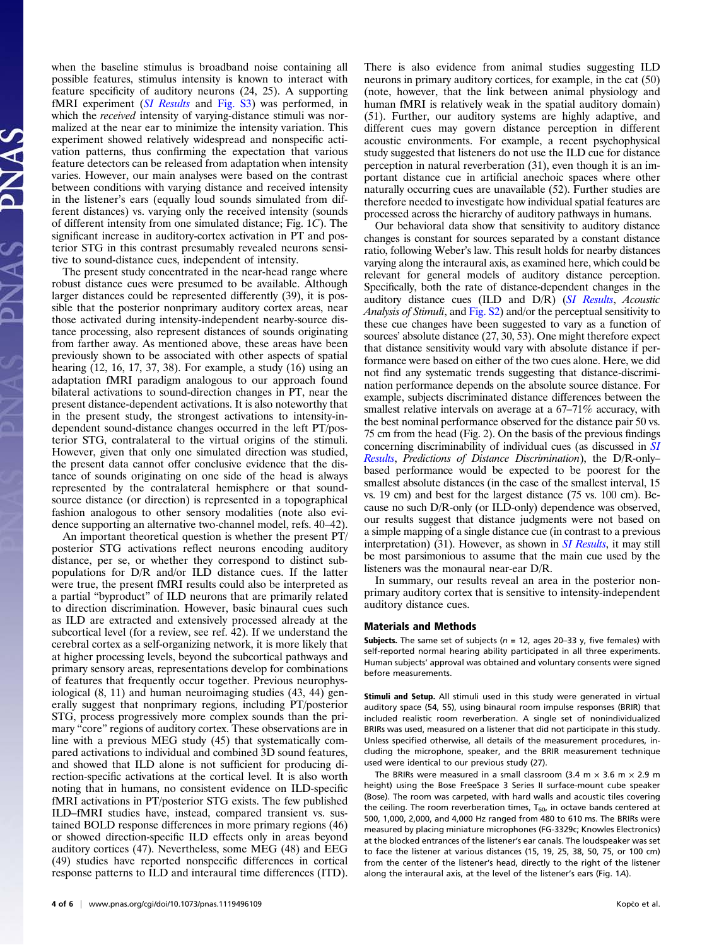when the baseline stimulus is broadband noise containing all possible features, stimulus intensity is known to interact with feature specificity of auditory neurons (24, 25). A supporting fMRI experiment ([SI Results](http://www.pnas.org/lookup/suppl/doi:10.1073/pnas.1119496109/-/DCSupplemental/pnas.201119496SI.pdf?targetid=nameddest=STXT) and [Fig. S3](http://www.pnas.org/lookup/suppl/doi:10.1073/pnas.1119496109/-/DCSupplemental/pnas.201119496SI.pdf?targetid=nameddest=SF3)) was performed, in which the *received* intensity of varying-distance stimuli was normalized at the near ear to minimize the intensity variation. This experiment showed relatively widespread and nonspecific activation patterns, thus confirming the expectation that various feature detectors can be released from adaptation when intensity varies. However, our main analyses were based on the contrast between conditions with varying distance and received intensity in the listener's ears (equally loud sounds simulated from different distances) vs. varying only the received intensity (sounds of different intensity from one simulated distance; Fig. 1C). The significant increase in auditory-cortex activation in PT and posterior STG in this contrast presumably revealed neurons sensitive to sound-distance cues, independent of intensity.

The present study concentrated in the near-head range where robust distance cues were presumed to be available. Although larger distances could be represented differently (39), it is possible that the posterior nonprimary auditory cortex areas, near those activated during intensity-independent nearby-source distance processing, also represent distances of sounds originating from farther away. As mentioned above, these areas have been previously shown to be associated with other aspects of spatial hearing (12, 16, 17, 37, 38). For example, a study (16) using an adaptation fMRI paradigm analogous to our approach found bilateral activations to sound-direction changes in PT, near the present distance-dependent activations. It is also noteworthy that in the present study, the strongest activations to intensity-independent sound-distance changes occurred in the left PT/posterior STG, contralateral to the virtual origins of the stimuli. However, given that only one simulated direction was studied, the present data cannot offer conclusive evidence that the distance of sounds originating on one side of the head is always represented by the contralateral hemisphere or that soundsource distance (or direction) is represented in a topographical fashion analogous to other sensory modalities (note also evidence supporting an alternative two-channel model, refs. 40–42).

An important theoretical question is whether the present PT/ posterior STG activations reflect neurons encoding auditory distance, per se, or whether they correspond to distinct subpopulations for D/R and/or ILD distance cues. If the latter were true, the present fMRI results could also be interpreted as a partial "byproduct" of ILD neurons that are primarily related to direction discrimination. However, basic binaural cues such as ILD are extracted and extensively processed already at the subcortical level (for a review, see ref. 42). If we understand the cerebral cortex as a self-organizing network, it is more likely that at higher processing levels, beyond the subcortical pathways and primary sensory areas, representations develop for combinations of features that frequently occur together. Previous neurophysiological (8, 11) and human neuroimaging studies (43, 44) generally suggest that nonprimary regions, including PT/posterior STG, process progressively more complex sounds than the primary "core" regions of auditory cortex. These observations are in line with a previous MEG study (45) that systematically compared activations to individual and combined 3D sound features, and showed that ILD alone is not sufficient for producing direction-specific activations at the cortical level. It is also worth noting that in humans, no consistent evidence on ILD-specific fMRI activations in PT/posterior STG exists. The few published ILD–fMRI studies have, instead, compared transient vs. sustained BOLD response differences in more primary regions (46) or showed direction-specific ILD effects only in areas beyond auditory cortices (47). Nevertheless, some MEG (48) and EEG (49) studies have reported nonspecific differences in cortical response patterns to ILD and interaural time differences (ITD). There is also evidence from animal studies suggesting ILD neurons in primary auditory cortices, for example, in the cat (50) (note, however, that the link between animal physiology and human fMRI is relatively weak in the spatial auditory domain) (51). Further, our auditory systems are highly adaptive, and different cues may govern distance perception in different acoustic environments. For example, a recent psychophysical study suggested that listeners do not use the ILD cue for distance perception in natural reverberation (31), even though it is an important distance cue in artificial anechoic spaces where other naturally occurring cues are unavailable (52). Further studies are therefore needed to investigate how individual spatial features are processed across the hierarchy of auditory pathways in humans.

Our behavioral data show that sensitivity to auditory distance changes is constant for sources separated by a constant distance ratio, following Weber's law. This result holds for nearby distances varying along the interaural axis, as examined here, which could be relevant for general models of auditory distance perception. Specifically, both the rate of distance-dependent changes in the auditory distance cues (ILD and D/R) ([SI Results](http://www.pnas.org/lookup/suppl/doi:10.1073/pnas.1119496109/-/DCSupplemental/pnas.201119496SI.pdf?targetid=nameddest=STXT), Acoustic Analysis of Stimuli, and [Fig. S2](http://www.pnas.org/lookup/suppl/doi:10.1073/pnas.1119496109/-/DCSupplemental/pnas.201119496SI.pdf?targetid=nameddest=SF2)) and/or the perceptual sensitivity to these cue changes have been suggested to vary as a function of sources' absolute distance (27, 30, 53). One might therefore expect that distance sensitivity would vary with absolute distance if performance were based on either of the two cues alone. Here, we did not find any systematic trends suggesting that distance-discrimination performance depends on the absolute source distance. For example, subjects discriminated distance differences between the smallest relative intervals on average at a  $67-71\%$  accuracy, with the best nominal performance observed for the distance pair 50 vs. 75 cm from the head (Fig. 2). On the basis of the previous findings concerning discriminability of individual cues (as discussed in [SI](http://www.pnas.org/lookup/suppl/doi:10.1073/pnas.1119496109/-/DCSupplemental/pnas.201119496SI.pdf?targetid=nameddest=STXT) [Results](http://www.pnas.org/lookup/suppl/doi:10.1073/pnas.1119496109/-/DCSupplemental/pnas.201119496SI.pdf?targetid=nameddest=STXT), Predictions of Distance Discrimination), the D/R-only– based performance would be expected to be poorest for the smallest absolute distances (in the case of the smallest interval, 15 vs. 19 cm) and best for the largest distance (75 vs. 100 cm). Because no such D/R-only (or ILD-only) dependence was observed, our results suggest that distance judgments were not based on a simple mapping of a single distance cue (in contrast to a previous interpretation) (31). However, as shown in *[SI Results](http://www.pnas.org/lookup/suppl/doi:10.1073/pnas.1119496109/-/DCSupplemental/pnas.201119496SI.pdf?targetid=nameddest=STXT)*, it may still be most parsimonious to assume that the main cue used by the listeners was the monaural near-ear D/R.

In summary, our results reveal an area in the posterior nonprimary auditory cortex that is sensitive to intensity-independent auditory distance cues.

#### Materials and Methods

**Subjects.** The same set of subjects ( $n = 12$ , ages 20-33 y, five females) with self-reported normal hearing ability participated in all three experiments. Human subjects' approval was obtained and voluntary consents were signed before measurements.

Stimuli and Setup. All stimuli used in this study were generated in virtual auditory space (54, 55), using binaural room impulse responses (BRIR) that included realistic room reverberation. A single set of nonindividualized BRIRs was used, measured on a listener that did not participate in this study. Unless specified otherwise, all details of the measurement procedures, including the microphone, speaker, and the BRIR measurement technique used were identical to our previous study (27).

The BRIRs were measured in a small classroom (3.4 m  $\times$  3.6 m  $\times$  2.9 m height) using the Bose FreeSpace 3 Series II surface-mount cube speaker (Bose). The room was carpeted, with hard walls and acoustic tiles covering the ceiling. The room reverberation times,  $T_{60}$ , in octave bands centered at 500, 1,000, 2,000, and 4,000 Hz ranged from 480 to 610 ms. The BRIRs were measured by placing miniature microphones (FG-3329c; Knowles Electronics) at the blocked entrances of the listener's ear canals. The loudspeaker was set to face the listener at various distances (15, 19, 25, 38, 50, 75, or 100 cm) from the center of the listener's head, directly to the right of the listener along the interaural axis, at the level of the listener's ears (Fig. 1A).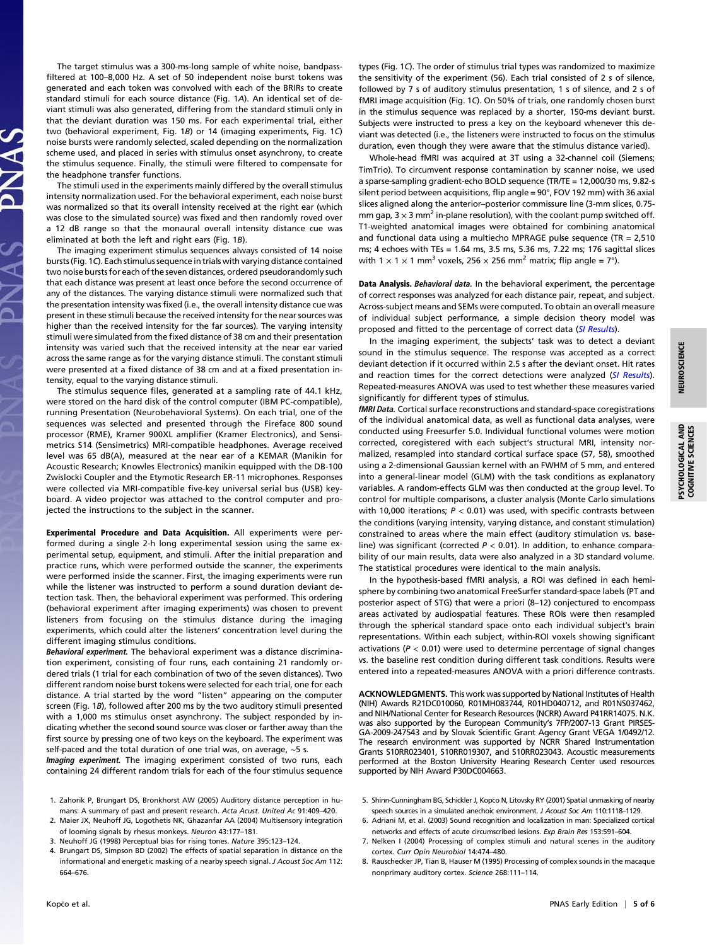The target stimulus was a 300-ms-long sample of white noise, bandpassfiltered at 100–8,000 Hz. A set of 50 independent noise burst tokens was generated and each token was convolved with each of the BRIRs to create standard stimuli for each source distance (Fig. 1A). An identical set of deviant stimuli was also generated, differing from the standard stimuli only in that the deviant duration was 150 ms. For each experimental trial, either two (behavioral experiment, Fig. 1B) or 14 (imaging experiments, Fig. 1C) noise bursts were randomly selected, scaled depending on the normalization scheme used, and placed in series with stimulus onset asynchrony, to create the stimulus sequence. Finally, the stimuli were filtered to compensate for the headphone transfer functions.

The stimuli used in the experiments mainly differed by the overall stimulus intensity normalization used. For the behavioral experiment, each noise burst was normalized so that its overall intensity received at the right ear (which was close to the simulated source) was fixed and then randomly roved over a 12 dB range so that the monaural overall intensity distance cue was eliminated at both the left and right ears (Fig. 1B).

The imaging experiment stimulus sequences always consisted of 14 noise bursts (Fig. 1C). Each stimulus sequence in trials with varying distance contained two noise bursts for each of the seven distances, ordered pseudorandomly such that each distance was present at least once before the second occurrence of any of the distances. The varying distance stimuli were normalized such that the presentation intensity was fixed (i.e., the overall intensity distance cue was present in these stimuli because the received intensity for the near sources was higher than the received intensity for the far sources). The varying intensity stimuli were simulated from the fixed distance of 38 cm and their presentation intensity was varied such that the received intensity at the near ear varied across the same range as for the varying distance stimuli. The constant stimuli were presented at a fixed distance of 38 cm and at a fixed presentation intensity, equal to the varying distance stimuli.

The stimulus sequence files, generated at a sampling rate of 44.1 kHz, were stored on the hard disk of the control computer (IBM PC-compatible), running Presentation (Neurobehavioral Systems). On each trial, one of the sequences was selected and presented through the Fireface 800 sound processor (RME), Kramer 900XL amplifier (Kramer Electronics), and Sensimetrics S14 (Sensimetrics) MRI-compatible headphones. Average received level was 65 dB(A), measured at the near ear of a KEMAR (Manikin for Acoustic Research; Knowles Electronics) manikin equipped with the DB-100 Zwislocki Coupler and the Etymotic Research ER-11 microphones. Responses were collected via MRI-compatible five-key universal serial bus (USB) keyboard. A video projector was attached to the control computer and projected the instructions to the subject in the scanner.

Experimental Procedure and Data Acquisition. All experiments were performed during a single 2-h long experimental session using the same experimental setup, equipment, and stimuli. After the initial preparation and practice runs, which were performed outside the scanner, the experiments were performed inside the scanner. First, the imaging experiments were run while the listener was instructed to perform a sound duration deviant detection task. Then, the behavioral experiment was performed. This ordering (behavioral experiment after imaging experiments) was chosen to prevent listeners from focusing on the stimulus distance during the imaging experiments, which could alter the listeners' concentration level during the different imaging stimulus conditions.

Behavioral experiment. The behavioral experiment was a distance discrimination experiment, consisting of four runs, each containing 21 randomly ordered trials (1 trial for each combination of two of the seven distances). Two different random noise burst tokens were selected for each trial, one for each distance. A trial started by the word "listen" appearing on the computer screen (Fig. 1B), followed after 200 ms by the two auditory stimuli presented with a 1,000 ms stimulus onset asynchrony. The subject responded by indicating whether the second sound source was closer or farther away than the first source by pressing one of two keys on the keyboard. The experiment was self-paced and the total duration of one trial was, on average, ∼5 s.

Imaging experiment. The imaging experiment consisted of two runs, each containing 24 different random trials for each of the four stimulus sequence

- 1. Zahorik P, Brungart DS, Bronkhorst AW (2005) Auditory distance perception in humans: A summary of past and present research. Acta Acust. United Ac 91:409–420.
- 2. Maier JX, Neuhoff JG, Logothetis NK, Ghazanfar AA (2004) Multisensory integration of looming signals by rhesus monkeys. Neuron 43:177–181.
- 3. Neuhoff JG (1998) Perceptual bias for rising tones. Nature 395:123–124.
- 4. Brungart DS, Simpson BD (2002) The effects of spatial separation in distance on the informational and energetic masking of a nearby speech signal. J Acoust Soc Am 112: 664–676.

types (Fig. 1C). The order of stimulus trial types was randomized to maximize the sensitivity of the experiment (56). Each trial consisted of 2 s of silence, followed by 7 s of auditory stimulus presentation, 1 s of silence, and 2 s of fMRI image acquisition (Fig. 1C). On 50% of trials, one randomly chosen burst in the stimulus sequence was replaced by a shorter, 150-ms deviant burst. Subjects were instructed to press a key on the keyboard whenever this deviant was detected (i.e., the listeners were instructed to focus on the stimulus duration, even though they were aware that the stimulus distance varied).

Whole-head fMRI was acquired at 3T using a 32-channel coil (Siemens; TimTrio). To circumvent response contamination by scanner noise, we used a sparse-sampling gradient-echo BOLD sequence (TR/TE = 12,000/30 ms, 9.82-s silent period between acquisitions, flip angle = 90°, FOV 192 mm) with 36 axial slices aligned along the anterior–posterior commissure line (3-mm slices, 0.75 mm gap,  $3 \times 3$  mm<sup>2</sup> in-plane resolution), with the coolant pump switched off. T1-weighted anatomical images were obtained for combining anatomical and functional data using a multiecho MPRAGE pulse sequence (TR = 2,510 ms; 4 echoes with TEs = 1.64 ms, 3.5 ms, 5.36 ms, 7.22 ms; 176 sagittal slices with 1  $\times$  1  $\times$  1 mm<sup>3</sup> voxels, 256  $\times$  256 mm<sup>2</sup> matrix; flip angle = 7°).

Data Analysis. Behavioral data. In the behavioral experiment, the percentage of correct responses was analyzed for each distance pair, repeat, and subject. Across-subject means and SEMs were computed. To obtain an overall measure of individual subject performance, a simple decision theory model was proposed and fitted to the percentage of correct data ([SI Results](http://www.pnas.org/lookup/suppl/doi:10.1073/pnas.1119496109/-/DCSupplemental/pnas.201119496SI.pdf?targetid=nameddest=STXT)).

In the imaging experiment, the subjects' task was to detect a deviant sound in the stimulus sequence. The response was accepted as a correct deviant detection if it occurred within 2.5 s after the deviant onset. Hit rates and reaction times for the correct detections were analyzed ([SI Results](http://www.pnas.org/lookup/suppl/doi:10.1073/pnas.1119496109/-/DCSupplemental/pnas.201119496SI.pdf?targetid=nameddest=STXT)). Repeated-measures ANOVA was used to test whether these measures varied significantly for different types of stimulus.

fMRI Data. Cortical surface reconstructions and standard-space coregistrations of the individual anatomical data, as well as functional data analyses, were conducted using Freesurfer 5.0. Individual functional volumes were motion corrected, coregistered with each subject's structural MRI, intensity normalized, resampled into standard cortical surface space (57, 58), smoothed using a 2-dimensional Gaussian kernel with an FWHM of 5 mm, and entered into a general-linear model (GLM) with the task conditions as explanatory variables. A random-effects GLM was then conducted at the group level. To control for multiple comparisons, a cluster analysis (Monte Carlo simulations with 10,000 iterations;  $P < 0.01$ ) was used, with specific contrasts between the conditions (varying intensity, varying distance, and constant stimulation) constrained to areas where the main effect (auditory stimulation vs. baseline) was significant (corrected  $P < 0.01$ ). In addition, to enhance comparability of our main results, data were also analyzed in a 3D standard volume. The statistical procedures were identical to the main analysis.

In the hypothesis-based fMRI analysis, a ROI was defined in each hemisphere by combining two anatomical FreeSurfer standard-space labels (PT and posterior aspect of STG) that were a priori (8–12) conjectured to encompass areas activated by audiospatial features. These ROIs were then resampled through the spherical standard space onto each individual subject's brain representations. Within each subject, within-ROI voxels showing significant activations ( $P < 0.01$ ) were used to determine percentage of signal changes vs. the baseline rest condition during different task conditions. Results were entered into a repeated-measures ANOVA with a priori difference contrasts.

ACKNOWLEDGMENTS. This work was supported by National Institutes of Health (NIH) Awards R21DC010060, R01MH083744, R01HD040712, and R01NS037462, and NIH/National Center for Research Resources (NCRR) Award P41RR14075. N.K. was also supported by the European Community's 7FP/2007-13 Grant PIRSES-GA-2009-247543 and by Slovak Scientific Grant Agency Grant VEGA 1/0492/12. The research environment was supported by NCRR Shared Instrumentation Grants S10RR023401, S10RR019307, and S10RR023043. Acoustic measurements performed at the Boston University Hearing Research Center used resources supported by NIH Award P30DC004663.

NEUROSCIENCE NEUROSCIENCE

- 5. Shinn-Cunningham BG, Schickler J, Kopčo N, Litovsky RY (2001) Spatial unmasking of nearby speech sources in a simulated anechoic environment. J Acoust Soc Am 110:1118-1129.
- 6. Adriani M, et al. (2003) Sound recognition and localization in man: Specialized cortical networks and effects of acute circumscribed lesions. Exp Brain Res 153:591-604.
- 7. Nelken I (2004) Processing of complex stimuli and natural scenes in the auditory cortex. Curr Opin Neurobiol 14:474–480.
- 8. Rauschecker JP, Tian B, Hauser M (1995) Processing of complex sounds in the macaque nonprimary auditory cortex. Science 268:111–114.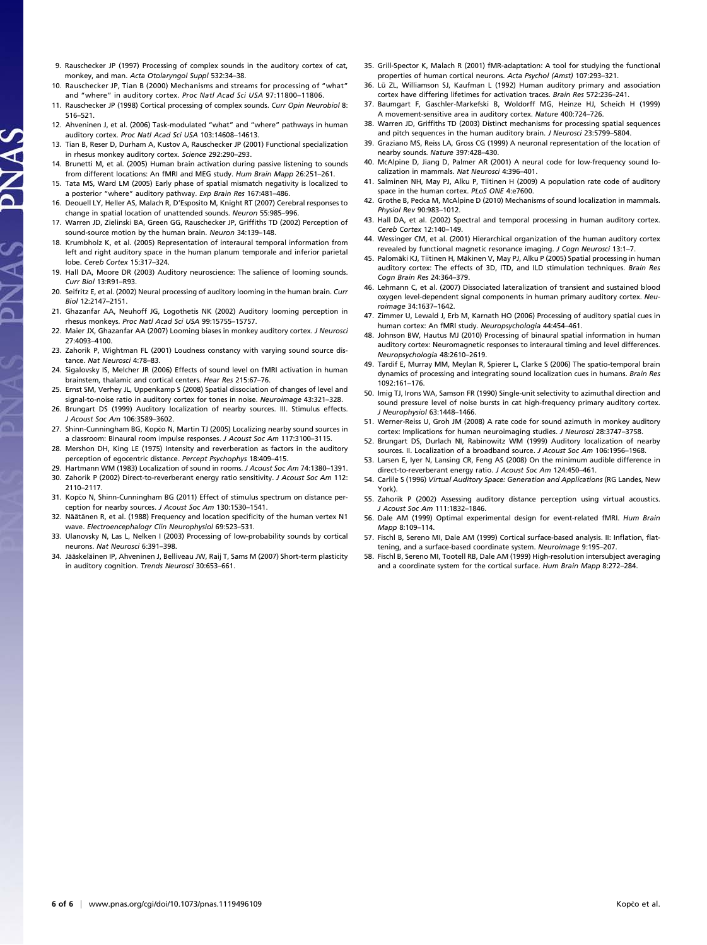- 9. Rauschecker JP (1997) Processing of complex sounds in the auditory cortex of cat, monkey, and man. Acta Otolaryngol Suppl 532:34–38.
- 10. Rauschecker JP, Tian B (2000) Mechanisms and streams for processing of "what" and "where" in auditory cortex. Proc Natl Acad Sci USA 97:11800–11806.
- 11. Rauschecker JP (1998) Cortical processing of complex sounds. Curr Opin Neurobiol 8: 516–521.
- 12. Ahveninen J, et al. (2006) Task-modulated "what" and "where" pathways in human auditory cortex. Proc Natl Acad Sci USA 103:14608–14613.
- 13. Tian B, Reser D, Durham A, Kustov A, Rauschecker JP (2001) Functional specialization in rhesus monkey auditory cortex. Science 292:290–293.
- 14. Brunetti M, et al. (2005) Human brain activation during passive listening to sounds from different locations: An fMRI and MEG study. Hum Brain Mapp 26:251–261.
- 15. Tata MS, Ward LM (2005) Early phase of spatial mismatch negativity is localized to a posterior "where" auditory pathway. Exp Brain Res 167:481-486.
- 16. Deouell LY, Heller AS, Malach R, D'Esposito M, Knight RT (2007) Cerebral responses to change in spatial location of unattended sounds. Neuron 55:985–996.
- 17. Warren JD, Zielinski BA, Green GG, Rauschecker JP, Griffiths TD (2002) Perception of sound-source motion by the human brain. Neuron 34:139-148.
- 18. Krumbholz K, et al. (2005) Representation of interaural temporal information from left and right auditory space in the human planum temporale and inferior parietal lobe. Cereb Cortex 15:317–324.
- 19. Hall DA, Moore DR (2003) Auditory neuroscience: The salience of looming sounds. Curr Biol 13:R91–R93.
- 20. Seifritz E, et al. (2002) Neural processing of auditory looming in the human brain. Curr Biol 12:2147–2151.
- 21. Ghazanfar AA, Neuhoff JG, Logothetis NK (2002) Auditory looming perception in rhesus monkeys. Proc Natl Acad Sci USA 99:15755–15757.
- 22. Maier JX, Ghazanfar AA (2007) Looming biases in monkey auditory cortex. J Neurosci 27:4093–4100.
- 23. Zahorik P, Wightman FL (2001) Loudness constancy with varying sound source distance. Nat Neurosci 4:78–83.
- 24. Sigalovsky IS, Melcher JR (2006) Effects of sound level on fMRI activation in human brainstem, thalamic and cortical centers. Hear Res 215:67–76.
- 25. Ernst SM, Verhey JL, Uppenkamp S (2008) Spatial dissociation of changes of level and signal-to-noise ratio in auditory cortex for tones in noise. Neuroimage 43:321–328.
- 26. Brungart DS (1999) Auditory localization of nearby sources. III. Stimulus effects. J Acoust Soc Am 106:3589–3602.
- 27. Shinn-Cunningham BG, Kopčo N, Martin TJ (2005) Localizing nearby sound sources in a classroom: Binaural room impulse responses. J Acoust Soc Am 117:3100–3115.
- 28. Mershon DH, King LE (1975) Intensity and reverberation as factors in the auditory perception of egocentric distance. Percept Psychophys 18:409–415.
- 29. Hartmann WM (1983) Localization of sound in rooms. J Acoust Soc Am 74:1380–1391. 30. Zahorik P (2002) Direct-to-reverberant energy ratio sensitivity. J Acoust Soc Am 112:
- 2110–2117. 31. Kopčo N, Shinn-Cunningham BG (2011) Effect of stimulus spectrum on distance per-
- ception for nearby sources. J Acoust Soc Am 130:1530–1541.
- 32. Näätänen R, et al. (1988) Frequency and location specificity of the human vertex N1 wave. Electroencephalogr Clin Neurophysiol 69:523–531.
- 33. Ulanovsky N, Las L, Nelken I (2003) Processing of low-probability sounds by cortical neurons. Nat Neurosci 6:391–398.
- 34. Jääskeläinen IP, Ahveninen J, Belliveau JW, Raij T, Sams M (2007) Short-term plasticity in auditory cognition. Trends Neurosci 30:653–661.
- 35. Grill-Spector K, Malach R (2001) fMR-adaptation: A tool for studying the functional properties of human cortical neurons. Acta Psychol (Amst) 107:293–321.
- 36. Lü ZL, Williamson SJ, Kaufman L (1992) Human auditory primary and association cortex have differing lifetimes for activation traces. Brain Res 572:236–241.
- 37. Baumgart F, Gaschler-Markefski B, Woldorff MG, Heinze HJ, Scheich H (1999) A movement-sensitive area in auditory cortex. Nature 400:724–726.
- 38. Warren JD, Griffiths TD (2003) Distinct mechanisms for processing spatial sequences and pitch sequences in the human auditory brain. J Neurosci 23:5799–5804.
- 39. Graziano MS, Reiss LA, Gross CG (1999) A neuronal representation of the location of nearby sounds. Nature 397:428–430.
- 40. McAlpine D, Jiang D, Palmer AR (2001) A neural code for low-frequency sound localization in mammals. Nat Neurosci 4:396–401.
- 41. Salminen NH, May PJ, Alku P, Tiitinen H (2009) A population rate code of auditory space in the human cortex. PLoS ONE 4:e7600.
- 42. Grothe B, Pecka M, McAlpine D (2010) Mechanisms of sound localization in mammals. Physiol Rev 90:983–1012.
- 43. Hall DA, et al. (2002) Spectral and temporal processing in human auditory cortex. Cereb Cortex 12:140–149.
- 44. Wessinger CM, et al. (2001) Hierarchical organization of the human auditory cortex revealed by functional magnetic resonance imaging. J Cogn Neurosci 13:1–7.
- 45. Palomäki KJ, Tiitinen H, Mäkinen V, May PJ, Alku P (2005) Spatial processing in human auditory cortex: The effects of 3D, ITD, and ILD stimulation techniques. Brain Res Cogn Brain Res 24:364–379.
- 46. Lehmann C, et al. (2007) Dissociated lateralization of transient and sustained blood oxygen level-dependent signal components in human primary auditory cortex. Neuroimage 34:1637–1642.
- 47. Zimmer U, Lewald J, Erb M, Karnath HO (2006) Processing of auditory spatial cues in human cortex: An fMRI study. Neuropsychologia 44:454–461.
- 48. Johnson BW, Hautus MJ (2010) Processing of binaural spatial information in human auditory cortex: Neuromagnetic responses to interaural timing and level differences. Neuropsychologia 48:2610–2619.
- 49. Tardif E, Murray MM, Meylan R, Spierer L, Clarke S (2006) The spatio-temporal brain dynamics of processing and integrating sound localization cues in humans. Brain Res 1092:161–176.
- 50. Imig TJ, Irons WA, Samson FR (1990) Single-unit selectivity to azimuthal direction and sound pressure level of noise bursts in cat high-frequency primary auditory cortex. J Neurophysiol 63:1448–1466.
- 51. Werner-Reiss U, Groh JM (2008) A rate code for sound azimuth in monkey auditory cortex: Implications for human neuroimaging studies. J Neurosci 28:3747–3758.
- 52. Brungart DS, Durlach NI, Rabinowitz WM (1999) Auditory localization of nearby sources. II. Localization of a broadband source. J Acoust Soc Am 106:1956–1968.
- 53. Larsen E, Iyer N, Lansing CR, Feng AS (2008) On the minimum audible difference in direct-to-reverberant energy ratio. J Acoust Soc Am 124:450–461.
- 54. Carlile S (1996) Virtual Auditory Space: Generation and Applications (RG Landes, New York).
- 55. Zahorik P (2002) Assessing auditory distance perception using virtual acoustics. J Acoust Soc Am 111:1832–1846.
- 56. Dale AM (1999) Optimal experimental design for event-related fMRI. Hum Brain Mapp 8:109–114.
- 57. Fischl B, Sereno MI, Dale AM (1999) Cortical surface-based analysis. II: Inflation, flattening, and a surface-based coordinate system. Neuroimage 9:195–207.
- 58. Fischl B, Sereno MI, Tootell RB, Dale AM (1999) High-resolution intersubject averaging and a coordinate system for the cortical surface. Hum Brain Mapp 8:272–284.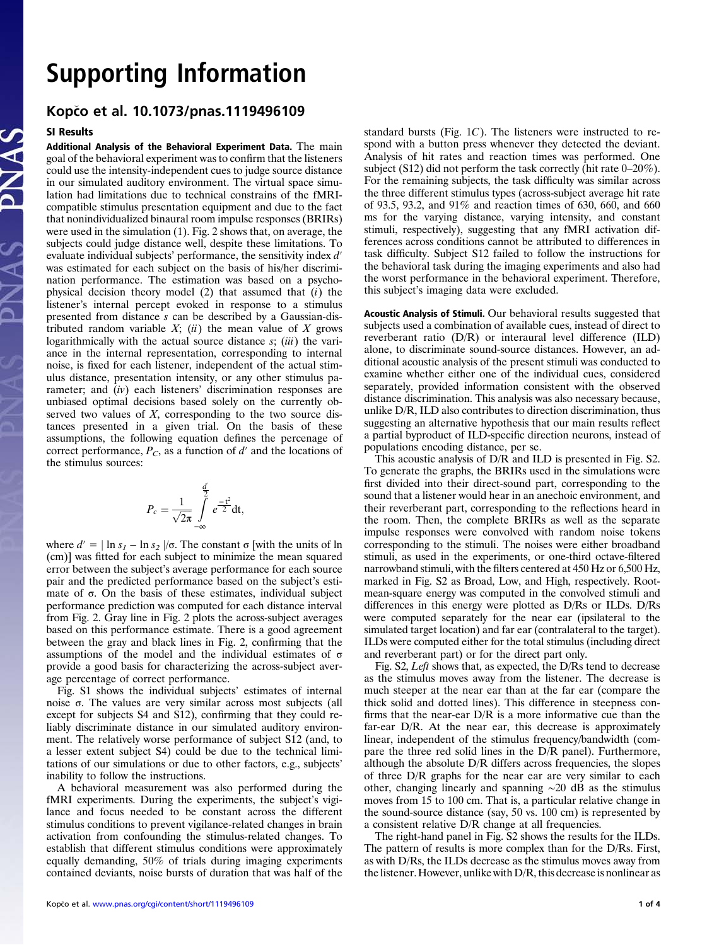## Supporting Information

## Kopco et al. 10.1073/pnas.1119496109

#### SI Results

Additional Analysis of the Behavioral Experiment Data. The main goal of the behavioral experiment was to confirm that the listeners could use the intensity-independent cues to judge source distance in our simulated auditory environment. The virtual space simulation had limitations due to technical constrains of the fMRIcompatible stimulus presentation equipment and due to the fact that nonindividualized binaural room impulse responses (BRIRs) were used in the simulation (1). Fig. 2 shows that, on average, the subjects could judge distance well, despite these limitations. To evaluate individual subjects' performance, the sensitivity index  $d'$ was estimated for each subject on the basis of his/her discrimination performance. The estimation was based on a psychophysical decision theory model  $(2)$  that assumed that  $(i)$  the listener's internal percept evoked in response to a stimulus presented from distance s can be described by a Gaussian-distributed random variable  $X$ ; (ii) the mean value of  $X$  grows logarithmically with the actual source distance  $s$ ; (*iii*) the variance in the internal representation, corresponding to internal noise, is fixed for each listener, independent of the actual stimulus distance, presentation intensity, or any other stimulus parameter; and (iv) each listeners' discrimination responses are unbiased optimal decisions based solely on the currently observed two values of  $X$ , corresponding to the two source distances presented in a given trial. On the basis of these assumptions, the following equation defines the percenage of correct performance,  $P_C$ , as a function of  $d'$  and the locations of the stimulus sources:

$$
P_c = \frac{1}{\sqrt{2\pi}} \int_{-\infty}^{\frac{d}{2}} e^{\frac{-t^2}{2}} dt,
$$

where  $d' = |\ln s_1 - \ln s_2|/\sigma$ . The constant  $\sigma$  [with the units of ln (cm)] was fitted for each subject to minimize the mean squared error between the subject's average performance for each source pair and the predicted performance based on the subject's estimate of  $σ$ . On the basis of these estimates, individual subject performance prediction was computed for each distance interval from Fig. 2. Gray line in Fig. 2 plots the across-subject averages based on this performance estimate. There is a good agreement between the gray and black lines in Fig. 2, confirming that the assumptions of the model and the individual estimates of  $\sigma$ provide a good basis for characterizing the across-subject average percentage of correct performance.

Fig. S1 shows the individual subjects' estimates of internal noise σ. The values are very similar across most subjects (all except for subjects S4 and S12), confirming that they could reliably discriminate distance in our simulated auditory environment. The relatively worse performance of subject S12 (and, to a lesser extent subject S4) could be due to the technical limitations of our simulations or due to other factors, e.g., subjects' inability to follow the instructions.

A behavioral measurement was also performed during the fMRI experiments. During the experiments, the subject's vigilance and focus needed to be constant across the different stimulus conditions to prevent vigilance-related changes in brain activation from confounding the stimulus-related changes. To establish that different stimulus conditions were approximately equally demanding, 50% of trials during imaging experiments contained deviants, noise bursts of duration that was half of the

standard bursts (Fig. 1C). The listeners were instructed to respond with a button press whenever they detected the deviant. Analysis of hit rates and reaction times was performed. One subject (S12) did not perform the task correctly (hit rate 0–20%). For the remaining subjects, the task difficulty was similar across the three different stimulus types (across-subject average hit rate of 93.5, 93.2, and 91% and reaction times of 630, 660, and 660 ms for the varying distance, varying intensity, and constant stimuli, respectively), suggesting that any fMRI activation differences across conditions cannot be attributed to differences in task difficulty. Subject S12 failed to follow the instructions for the behavioral task during the imaging experiments and also had the worst performance in the behavioral experiment. Therefore, this subject's imaging data were excluded.

Acoustic Analysis of Stimuli. Our behavioral results suggested that subjects used a combination of available cues, instead of direct to reverberant ratio (D/R) or interaural level difference (ILD) alone, to discriminate sound-source distances. However, an additional acoustic analysis of the present stimuli was conducted to examine whether either one of the individual cues, considered separately, provided information consistent with the observed distance discrimination. This analysis was also necessary because, unlike D/R, ILD also contributes to direction discrimination, thus suggesting an alternative hypothesis that our main results reflect a partial byproduct of ILD-specific direction neurons, instead of populations encoding distance, per se.

This acoustic analysis of D/R and ILD is presented in Fig. S2. To generate the graphs, the BRIRs used in the simulations were first divided into their direct-sound part, corresponding to the sound that a listener would hear in an anechoic environment, and their reverberant part, corresponding to the reflections heard in the room. Then, the complete BRIRs as well as the separate impulse responses were convolved with random noise tokens corresponding to the stimuli. The noises were either broadband stimuli, as used in the experiments, or one-third octave-filtered narrowband stimuli, with the filters centered at 450 Hz or 6,500 Hz, marked in Fig. S2 as Broad, Low, and High, respectively. Rootmean-square energy was computed in the convolved stimuli and differences in this energy were plotted as D/Rs or ILDs. D/Rs were computed separately for the near ear (ipsilateral to the simulated target location) and far ear (contralateral to the target). ILDs were computed either for the total stimulus (including direct and reverberant part) or for the direct part only.

Fig. S2, Left shows that, as expected, the D/Rs tend to decrease as the stimulus moves away from the listener. The decrease is much steeper at the near ear than at the far ear (compare the thick solid and dotted lines). This difference in steepness confirms that the near-ear D/R is a more informative cue than the far-ear D/R. At the near ear, this decrease is approximately linear, independent of the stimulus frequency/bandwidth (compare the three red solid lines in the D/R panel). Furthermore, although the absolute D/R differs across frequencies, the slopes of three D/R graphs for the near ear are very similar to each other, changing linearly and spanning ∼20 dB as the stimulus moves from 15 to 100 cm. That is, a particular relative change in the sound-source distance (say, 50 vs. 100 cm) is represented by a consistent relative D/R change at all frequencies.

The right-hand panel in Fig. S2 shows the results for the ILDs. The pattern of results is more complex than for the D/Rs. First, as with D/Rs, the ILDs decrease as the stimulus moves away from the listener. However, unlike with D/R, this decrease is nonlinear as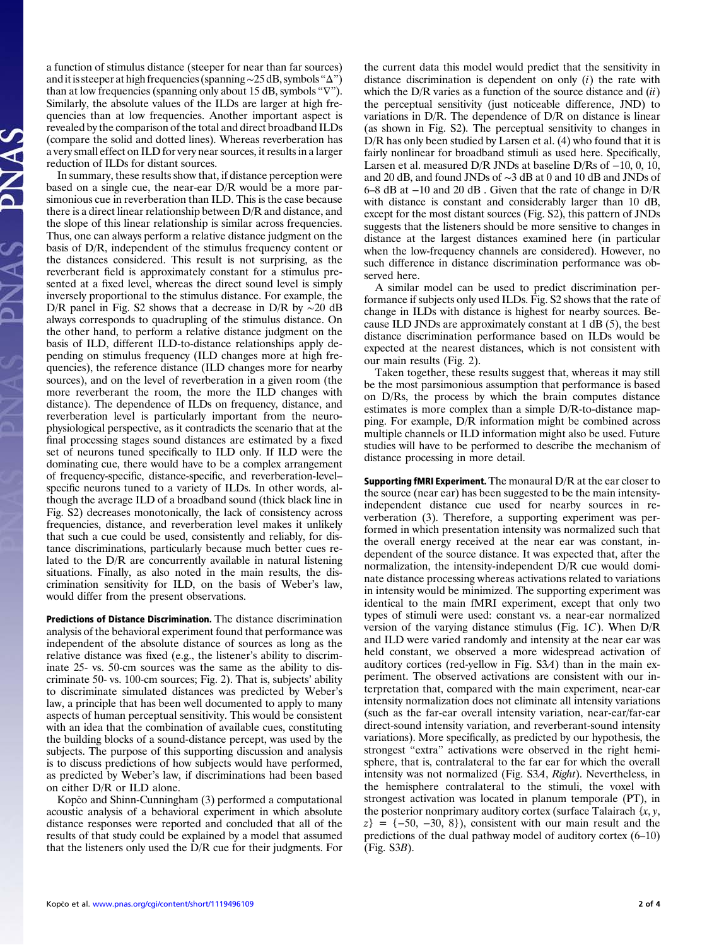a function of stimulus distance (steeper for near than far sources) and it is steeper at high frequencies (spanning∼25 dB, symbols "Δ") than at low frequencies (spanning only about 15 dB, symbols "∇"). Similarly, the absolute values of the ILDs are larger at high frequencies than at low frequencies. Another important aspect is revealed by the comparison of the total and direct broadband ILDs (compare the solid and dotted lines). Whereas reverberation has a very small effect on ILD for very near sources, it results in a larger reduction of ILDs for distant sources.

In summary, these results show that, if distance perception were based on a single cue, the near-ear D/R would be a more parsimonious cue in reverberation than ILD. This is the case because there is a direct linear relationship between D/R and distance, and the slope of this linear relationship is similar across frequencies. Thus, one can always perform a relative distance judgment on the basis of D/R, independent of the stimulus frequency content or the distances considered. This result is not surprising, as the reverberant field is approximately constant for a stimulus presented at a fixed level, whereas the direct sound level is simply inversely proportional to the stimulus distance. For example, the D/R panel in Fig. S2 shows that a decrease in D/R by ∼20 dB always corresponds to quadrupling of the stimulus distance. On the other hand, to perform a relative distance judgment on the basis of ILD, different ILD-to-distance relationships apply depending on stimulus frequency (ILD changes more at high frequencies), the reference distance (ILD changes more for nearby sources), and on the level of reverberation in a given room (the more reverberant the room, the more the ILD changes with distance). The dependence of ILDs on frequency, distance, and reverberation level is particularly important from the neurophysiological perspective, as it contradicts the scenario that at the final processing stages sound distances are estimated by a fixed set of neurons tuned specifically to ILD only. If ILD were the dominating cue, there would have to be a complex arrangement of frequency-specific, distance-specific, and reverberation-level– specific neurons tuned to a variety of ILDs. In other words, although the average ILD of a broadband sound (thick black line in Fig. S2) decreases monotonically, the lack of consistency across frequencies, distance, and reverberation level makes it unlikely that such a cue could be used, consistently and reliably, for distance discriminations, particularly because much better cues related to the D/R are concurrently available in natural listening situations. Finally, as also noted in the main results, the discrimination sensitivity for ILD, on the basis of Weber's law, would differ from the present observations.

Predictions of Distance Discrimination. The distance discrimination analysis of the behavioral experiment found that performance was independent of the absolute distance of sources as long as the relative distance was fixed (e.g., the listener's ability to discriminate 25- vs. 50-cm sources was the same as the ability to discriminate 50- vs. 100-cm sources; Fig. 2). That is, subjects' ability to discriminate simulated distances was predicted by Weber's law, a principle that has been well documented to apply to many aspects of human perceptual sensitivity. This would be consistent with an idea that the combination of available cues, constituting the building blocks of a sound-distance percept, was used by the subjects. The purpose of this supporting discussion and analysis is to discuss predictions of how subjects would have performed, as predicted by Weber's law, if discriminations had been based on either D/R or ILD alone.

Kopčo and Shinn-Cunningham (3) performed a computational acoustic analysis of a behavioral experiment in which absolute distance responses were reported and concluded that all of the results of that study could be explained by a model that assumed that the listeners only used the D/R cue for their judgments. For

the current data this model would predict that the sensitivity in distance discrimination is dependent on only  $(i)$  the rate with which the  $D/R$  varies as a function of the source distance and  $(ii)$ the perceptual sensitivity (just noticeable difference, JND) to variations in D/R. The dependence of D/R on distance is linear (as shown in Fig. S2). The perceptual sensitivity to changes in D/R has only been studied by Larsen et al. (4) who found that it is fairly nonlinear for broadband stimuli as used here. Specifically, Larsen et al. measured D/R JNDs at baseline D/Rs of −10, 0, 10, and 20 dB, and found JNDs of ∼3 dB at 0 and 10 dB and JNDs of 6–8 dB at −10 and 20 dB . Given that the rate of change in D/R with distance is constant and considerably larger than 10 dB, except for the most distant sources (Fig. S2), this pattern of JNDs suggests that the listeners should be more sensitive to changes in distance at the largest distances examined here (in particular when the low-frequency channels are considered). However, no such difference in distance discrimination performance was observed here.

A similar model can be used to predict discrimination performance if subjects only used ILDs. Fig. S2 shows that the rate of change in ILDs with distance is highest for nearby sources. Because ILD JNDs are approximately constant at 1 dB (5), the best distance discrimination performance based on ILDs would be expected at the nearest distances, which is not consistent with our main results (Fig. 2).

Taken together, these results suggest that, whereas it may still be the most parsimonious assumption that performance is based on D/Rs, the process by which the brain computes distance estimates is more complex than a simple D/R-to-distance mapping. For example, D/R information might be combined across multiple channels or ILD information might also be used. Future studies will have to be performed to describe the mechanism of distance processing in more detail.

**Supporting fMRI Experiment.** The monaural  $D/R$  at the ear closer to the source (near ear) has been suggested to be the main intensityindependent distance cue used for nearby sources in reverberation (3). Therefore, a supporting experiment was performed in which presentation intensity was normalized such that the overall energy received at the near ear was constant, independent of the source distance. It was expected that, after the normalization, the intensity-independent D/R cue would dominate distance processing whereas activations related to variations in intensity would be minimized. The supporting experiment was identical to the main fMRI experiment, except that only two types of stimuli were used: constant vs. a near-ear normalized version of the varying distance stimulus (Fig. 1C). When D/R and ILD were varied randomly and intensity at the near ear was held constant, we observed a more widespread activation of auditory cortices (red-yellow in Fig. S3A) than in the main experiment. The observed activations are consistent with our interpretation that, compared with the main experiment, near-ear intensity normalization does not eliminate all intensity variations (such as the far-ear overall intensity variation, near-ear/far-ear direct-sound intensity variation, and reverberant-sound intensity variations). More specifically, as predicted by our hypothesis, the strongest "extra" activations were observed in the right hemisphere, that is, contralateral to the far ear for which the overall intensity was not normalized (Fig. S3A, Right). Nevertheless, in the hemisphere contralateral to the stimuli, the voxel with strongest activation was located in planum temporale (PT), in the posterior nonprimary auditory cortex (surface Talairach  $\{x, y, \}$  $z$ } = {-50, -30, 8}), consistent with our main result and the predictions of the dual pathway model of auditory cortex (6–10) (Fig. S3B).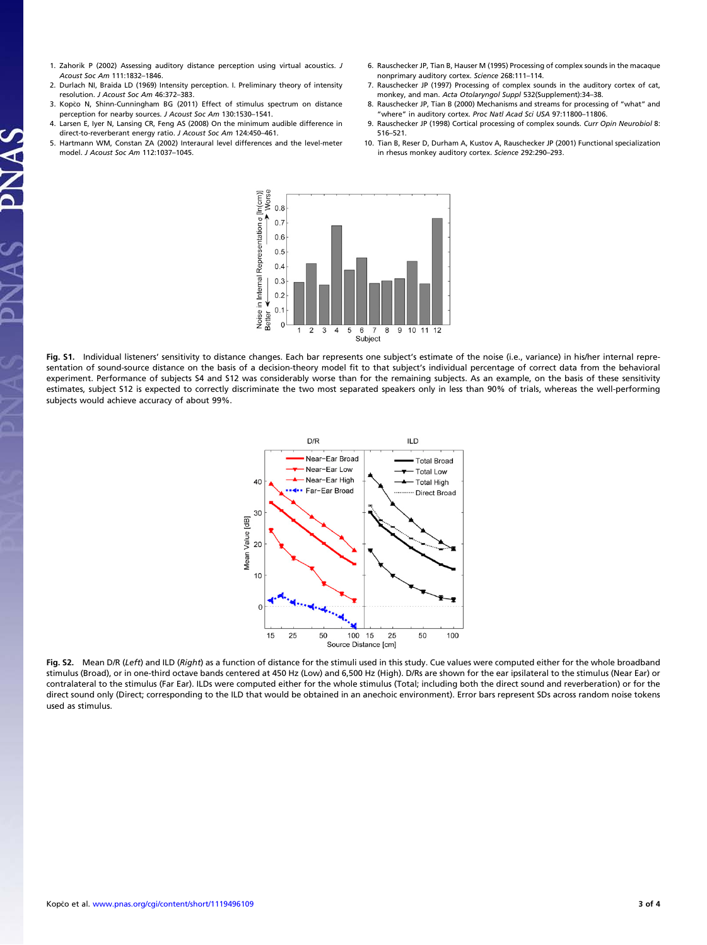- 1. Zahorik P (2002) Assessing auditory distance perception using virtual acoustics. J Acoust Soc Am 111:1832–1846.
- 2. Durlach NI, Braida LD (1969) Intensity perception. I. Preliminary theory of intensity resolution. J Acoust Soc Am 46:372–383.
- 3. Kopčo N, Shinn-Cunningham BG (2011) Effect of stimulus spectrum on distance perception for nearby sources. J Acoust Soc Am 130:1530–1541.
- 4. Larsen E, Iyer N, Lansing CR, Feng AS (2008) On the minimum audible difference in direct-to-reverberant energy ratio. J Acoust Soc Am 124:450–461.
- 5. Hartmann WM, Constan ZA (2002) Interaural level differences and the level-meter model. J Acoust Soc Am 112:1037–1045.
- 6. Rauschecker JP, Tian B, Hauser M (1995) Processing of complex sounds in the macaque nonprimary auditory cortex. Science 268:111–114.
- 7. Rauschecker JP (1997) Processing of complex sounds in the auditory cortex of cat, monkey, and man. Acta Otolaryngol Suppl 532(Supplement):34–38.
- 8. Rauschecker JP, Tian B (2000) Mechanisms and streams for processing of "what" and "where" in auditory cortex. Proc Natl Acad Sci USA 97:11800–11806.
- 9. Rauschecker JP (1998) Cortical processing of complex sounds. Curr Opin Neurobiol 8: 516–521.
- 10. Tian B, Reser D, Durham A, Kustov A, Rauschecker JP (2001) Functional specialization in rhesus monkey auditory cortex. Science 292:290–293.



Fig. S1. Individual listeners' sensitivity to distance changes. Each bar represents one subject's estimate of the noise (i.e., variance) in his/her internal representation of sound-source distance on the basis of a decision-theory model fit to that subject's individual percentage of correct data from the behavioral experiment. Performance of subjects S4 and S12 was considerably worse than for the remaining subjects. As an example, on the basis of these sensitivity estimates, subject S12 is expected to correctly discriminate the two most separated speakers only in less than 90% of trials, whereas the well-performing subjects would achieve accuracy of about 99%.



Fig. S2. Mean D/R (Left) and ILD (Right) as a function of distance for the stimuli used in this study. Cue values were computed either for the whole broadband stimulus (Broad), or in one-third octave bands centered at 450 Hz (Low) and 6,500 Hz (High). D/Rs are shown for the ear ipsilateral to the stimulus (Near Ear) or contralateral to the stimulus (Far Ear). ILDs were computed either for the whole stimulus (Total; including both the direct sound and reverberation) or for the direct sound only (Direct; corresponding to the ILD that would be obtained in an anechoic environment). Error bars represent SDs across random noise tokens used as stimulus.